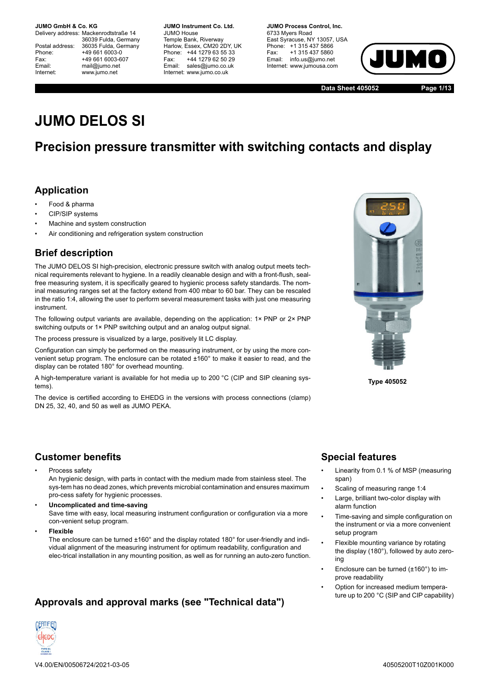Delivery address: Mackenrodtstraße 14 36039 Fulda, Germany Postal address: 36035 Fulda, Germany<br>Phone: +49 661 6003-0 Phone: +49 661 6003-0<br>Fax: +49 661 6003-6 Fax: +49 661 6003-607<br>
Fmail: mail@iumo.net mail@iumo.net Internet: www.jumo.net

**-BUMO Instrument Co. Ltd.** JUMO House Temple Bank, Riverway Harlow, Essex, CM20 2DY, UK Phone: +44 1279 63 55 33<br>Fax: +44 1279 62 50 29 +44 1279 62 50 29 Email: sales@jumo.co.uk Internet: www.jumo.co.uk

**-BURG Process Control Inc.** 6733 Myers Road East Syracuse, NY 13057, USA Phone: +1 315 437 5866<br>Fax: +1 315 437 5860 +1 315 437 5860 Email: info.us@jumo.net Internet: www.jumousa.com



**Data Sheet 405052 Page 1/13**

# **JUMO DELOS SI**

## **Precision pressure transmitter with switching contacts and display**

### **Application**

- Food & pharma
- CIP/SIP systems
- Machine and system construction
- Air conditioning and refrigeration system construction

## **Brief description**

The JUMO DELOS SI high-precision, electronic pressure switch with analog output meets technical requirements relevant to hygiene. In a readily cleanable design and with a front-flush, sealfree measuring system, it is specifically geared to hygienic process safety standards. The nominal measuring ranges set at the factory extend from 400 mbar to 60 bar. They can be rescaled in the ratio 1:4, allowing the user to perform several measurement tasks with just one measuring instrument.

The following output variants are available, depending on the application: 1× PNP or 2× PNP switching outputs or 1× PNP switching output and an analog output signal.

The process pressure is visualized by a large, positively lit LC display.

Configuration can simply be performed on the measuring instrument, or by using the more convenient setup program. The enclosure can be rotated ±160° to make it easier to read, and the display can be rotated 180° for overhead mounting.

A high-temperature variant is available for hot media up to 200 °C (CIP and SIP cleaning systems).

The device is certified according to EHEDG in the versions with process connections (clamp) DN 25, 32, 40, and 50 as well as JUMO PEKA.



**Type 405052**

### **Customer benefits**

• Process safety

An hygienic design, with parts in contact with the medium made from stainless steel. The sys-tem has no dead zones, which prevents microbial contamination and ensures maximum pro-cess safety for hygienic processes.

- **Uncomplicated and time-saving** Save time with easy, local measuring instrument configuration or configuration via a more con-venient setup program.
- **Flexible**

The enclosure can be turned ±160° and the display rotated 180° for user-friendly and individual alignment of the measuring instrument for optimum readability, configuration and elec-trical installation in any mounting position, as well as for running an auto-zero function.

## **Approvals and approval marks (see "Technical data")**



## **Special features**

- Linearity from 0.1 % of MSP (measuring span)
- Scaling of measuring range 1:4
- Large, brilliant two-color display with alarm function
- Time-saving and simple configuration on the instrument or via a more convenient setup program
- Flexible mounting variance by rotating the display (180°), followed by auto zeroing
- Enclosure can be turned (±160°) to improve readability
- Option for increased medium temperature up to 200 °C (SIP and CIP capability)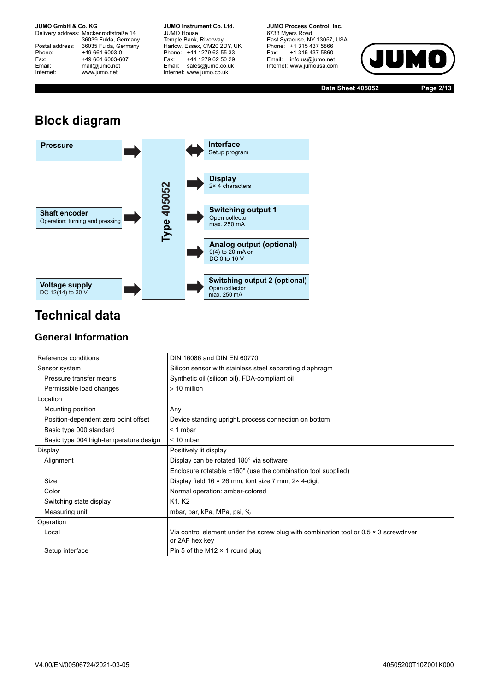Delivery address: Mackenrodtstraße 14 36039 Fulda, Germany<br>Postal address: 36035 Fulda, Germany Phone: +49 661 6003-0<br>
Fax: +49 661 6003-6<br>
Email: mail@jumo.net +49 661 6003-607 mail@jumo.net Internet: www.jumo.net

**JUMO Instrument Co. Ltd.** JUMO House Temple Bank, Riverway<br>Harlow, Essex, CM20 2DY, UK Phone: +44 1279 63 55 33<br>Fax: +44 1279 62 50 29 +44 1279 62 50 29 Email: sales@jumo.co.uk Internet: www.jumo.co.uk

**JUMO Process Control. Inc.** 6733 Myers Road East Syracuse, NY 13057, USA Phone: +1 315 437 5866<br>Fax: +1 315 437 5860 Email: info.us@jumo.net Internet: www.jumousa.com



**Data Sheet 405052 Page 2/13**

# **Block diagram**



## **Technical data**

## **General Information**

| Reference conditions                   | DIN 16086 and DIN EN 60770                                                                                     |
|----------------------------------------|----------------------------------------------------------------------------------------------------------------|
| Sensor system                          | Silicon sensor with stainless steel separating diaphragm                                                       |
| Pressure transfer means                | Synthetic oil (silicon oil), FDA-compliant oil                                                                 |
| Permissible load changes               | $> 10$ million                                                                                                 |
| Location                               |                                                                                                                |
| Mounting position                      | Any                                                                                                            |
| Position-dependent zero point offset   | Device standing upright, process connection on bottom                                                          |
| Basic type 000 standard                | $\leq$ 1 mbar                                                                                                  |
| Basic type 004 high-temperature design | $\leq 10$ mbar                                                                                                 |
| Display                                | Positively lit display                                                                                         |
| Alignment                              | Display can be rotated 180° via software                                                                       |
|                                        | Enclosure rotatable $\pm 160^\circ$ (use the combination tool supplied)                                        |
| Size                                   | Display field $16 \times 26$ mm, font size 7 mm, $2 \times 4$ -digit                                           |
| Color                                  | Normal operation: amber-colored                                                                                |
| Switching state display                | K1, K2                                                                                                         |
| Measuring unit                         | mbar, bar, kPa, MPa, psi, %                                                                                    |
| Operation                              |                                                                                                                |
| Local                                  | Via control element under the screw plug with combination tool or $0.5 \times 3$ screwdriver<br>or 2AF hex key |
| Setup interface                        | Pin 5 of the M12 $\times$ 1 round plug                                                                         |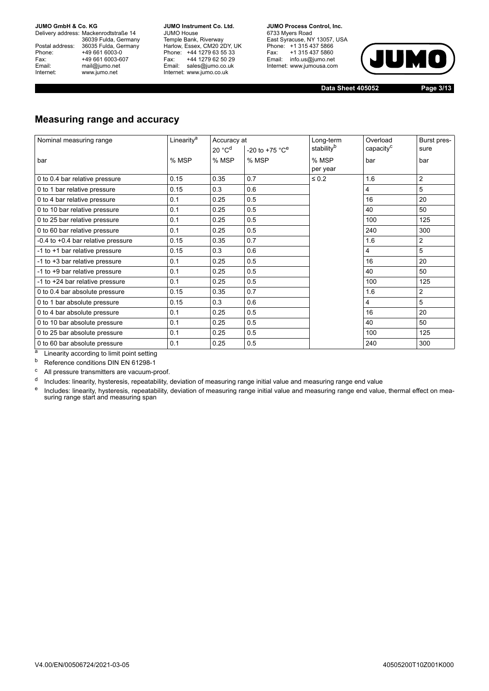Delivery address: Mackenrodtstraße 14 36039 Fulda, Germany<br>Postal address: 36035 Fulda, Germany Phone: +49 661 6003-0<br>
Fax: +49 661 6003-6<br>
Email: mail@jumo.net +49 661 6003-607 mail@jumo.net Internet: www.jumo.net

**JUMO Instrument Co. Ltd.** JUMO House Temple Bank, Riverway<br>Harlow, Essex, CM20 2DY, UK Phone: +44 1279 63 55 33<br>Fax: +44 1279 62 50 29 +44 1279 62 50 29 Email: sales@jumo.co.uk Internet: www.jumo.co.uk

**JUMO Process Control. Inc.** 6733 Myers Road East Syracuse, NY 13057, USA Phone: +1 315 437 5866<br>Fax: +1 315 437 5860 Fax: +1 315 437 5860<br>Email: info.us@jumo.net Internet: www.jumousa.com



**Data Sheet 405052 Page 3/13**

### **Measuring range and accuracy**

| Nominal measuring range                                                                                                                         | Linearity <sup>a</sup> | Accuracy at        |                                | Long-term         | Overload              | Burst pres-    |
|-------------------------------------------------------------------------------------------------------------------------------------------------|------------------------|--------------------|--------------------------------|-------------------|-----------------------|----------------|
|                                                                                                                                                 |                        | 20 °C <sup>d</sup> | $-20$ to $+75$ °C <sup>e</sup> | stabilityb        | capacity <sup>c</sup> | sure           |
| bar                                                                                                                                             | % MSP                  | % MSP              | % MSP                          | % MSP<br>per year | bar                   | bar            |
| 0 to 0.4 bar relative pressure                                                                                                                  | 0.15                   | 0.35               | 0.7                            | $\leq 0.2$        | 1.6                   | $\overline{2}$ |
| 0 to 1 bar relative pressure                                                                                                                    | 0.15                   | 0.3                | 0.6                            |                   | 4                     | 5              |
| 0 to 4 bar relative pressure                                                                                                                    | 0.1                    | 0.25               | 0.5                            |                   | 16                    | 20             |
| 0 to 10 bar relative pressure                                                                                                                   | 0.1                    | 0.25               | 0.5                            |                   | 40                    | 50             |
| 0 to 25 bar relative pressure                                                                                                                   | 0.1                    | 0.25               | 0.5                            |                   | 100                   | 125            |
| 0 to 60 bar relative pressure                                                                                                                   | 0.1                    | 0.25               | 0.5                            |                   | 240                   | 300            |
| -0.4 to +0.4 bar relative pressure                                                                                                              | 0.15                   | 0.35               | 0.7                            |                   | 1.6                   | 2              |
| -1 to +1 bar relative pressure                                                                                                                  | 0.15                   | 0.3                | 0.6                            |                   | 4                     | 5              |
| -1 to +3 bar relative pressure                                                                                                                  | 0.1                    | 0.25               | 0.5                            |                   | 16                    | 20             |
| -1 to +9 bar relative pressure                                                                                                                  | 0.1                    | 0.25               | 0.5                            |                   | 40                    | 50             |
| -1 to +24 bar relative pressure                                                                                                                 | 0.1                    | 0.25               | 0.5                            |                   | 100                   | 125            |
| 0 to 0.4 bar absolute pressure                                                                                                                  | 0.15                   | 0.35               | 0.7                            |                   | 1.6                   | 2              |
| 0 to 1 bar absolute pressure                                                                                                                    | 0.15                   | 0.3                | 0.6                            |                   | 4                     | 5              |
| 0 to 4 bar absolute pressure                                                                                                                    | 0.1                    | 0.25               | 0.5                            |                   | 16                    | 20             |
| 0 to 10 bar absolute pressure                                                                                                                   | 0.1                    | 0.25               | 0.5                            |                   | 40                    | 50             |
| 0 to 25 bar absolute pressure                                                                                                                   | 0.1                    | 0.25               | 0.5                            |                   | 100                   | 125            |
| 0 to 60 bar absolute pressure<br>2010 - Indiana de Maria de La Caractería de Maria de Maria de Maria de Maria de Maria de Maria de Maria de Mar | 0.1                    | 0.25               | 0.5                            |                   | 240                   | 300            |

Linearity according to limit point setting

<sup>b</sup> Reference conditions DIN EN 61298-1

<sup>c</sup> All pressure transmitters are vacuum-proof.

<sup>d</sup> Includes: linearity, hysteresis, repeatability, deviation of measuring range initial value and measuring range end value

e Includes: linearity, hysteresis, repeatability, deviation of measuring range initial value and measuring range end value, thermal effect on measuring range start and measuring span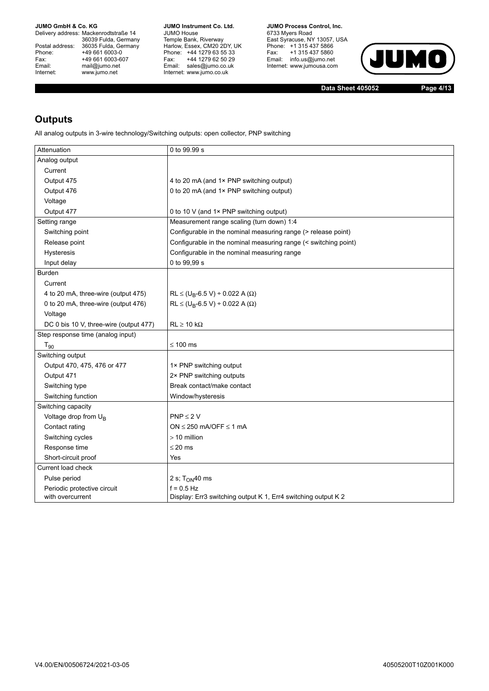Delivery address: Mackenrodtstraße 14 36039 Fulda, Germany<br>Postal address: 36035 Fulda, Germany Phone: +49 661 6003-0<br>
Fax: +49 661 6003-6<br>
Email: mail@jumo.net +49 661 6003-607 Email: mail@jumo.net<br>Internet: www.iumo.net www.jumo.net

**JUMO Instrument Co. Ltd.** JUMO House Temple Bank, Riverway<br>Harlow, Essex, CM20 2DY, UK<br>Phone: +44 1279 63 55 33 Fax: +44 1279 62 50 29 Fax. THE IZIS OF OUR Internet: www.jumo.co.uk

**JUMO Process Control, Inc.** 6733 Myers Road East Syracuse, NY 13057, USA<br>Phone: +1 315 437 5866<br>Fax: +1 315 437 5860 Email: info.us@jumo.net Internet: www.jumousa.com



**Data Sheet 405052 Page 4/13**

## **Outputs**

All analog outputs in 3-wire technology/Switching outputs: open collector, PNP switching

| Attenuation                            | 0 to 99.99 s                                                    |
|----------------------------------------|-----------------------------------------------------------------|
| Analog output                          |                                                                 |
| Current                                |                                                                 |
| Output 475                             | 4 to 20 mA (and 1× PNP switching output)                        |
| Output 476                             | 0 to 20 mA (and 1× PNP switching output)                        |
| Voltage                                |                                                                 |
| Output 477                             | 0 to 10 V (and 1× PNP switching output)                         |
| Setting range                          | Measurement range scaling (turn down) 1:4                       |
| Switching point                        | Configurable in the nominal measuring range (> release point)   |
| Release point                          | Configurable in the nominal measuring range (< switching point) |
| <b>Hysteresis</b>                      | Configurable in the nominal measuring range                     |
| Input delay                            | 0 to 99,99 s                                                    |
| <b>Burden</b>                          |                                                                 |
| Current                                |                                                                 |
| 4 to 20 mA, three-wire (output 475)    | $RL \le (U_B - 6.5 V) \div 0.022 A (\Omega)$                    |
| 0 to 20 mA, three-wire (output 476)    | $RL \le (U_B - 6.5 V) \div 0.022 A (\Omega)$                    |
| Voltage                                |                                                                 |
| DC 0 bis 10 V, three-wire (output 477) | $RL \ge 10 k\Omega$                                             |
| Step response time (analog input)      |                                                                 |
| $T_{90}$                               | $\leq 100$ ms                                                   |
| Switching output                       |                                                                 |
| Output 470, 475, 476 or 477            | 1× PNP switching output                                         |
| Output 471                             | 2× PNP switching outputs                                        |
| Switching type                         | Break contact/make contact                                      |
| Switching function                     | Window/hysteresis                                               |
| Switching capacity                     |                                                                 |
| Voltage drop from U <sub>B</sub>       | $PNP \leq 2V$                                                   |
| Contact rating                         | ON $\leq$ 250 mA/OFF $\leq$ 1 mA                                |
| Switching cycles                       | $>10$ million                                                   |
| Response time                          | $\leq$ 20 ms                                                    |
| Short-circuit proof                    | Yes                                                             |
| Current load check                     |                                                                 |
| Pulse period                           | 2 s; $TON40$ ms                                                 |
| Periodic protective circuit            | $f = 0.5$ Hz                                                    |
| with overcurrent                       | Display: Err3 switching output K 1, Err4 switching output K 2   |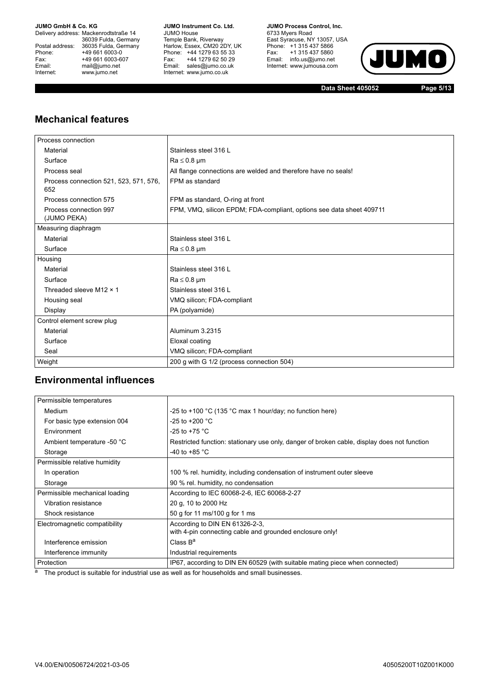Delivery address: Mackenrodtstraße 14 36039 Fulda, Germany<br>Postal address: 36035 Fulda, Germany Phone: +49 661 6003-0<br>
Fax: +49 661 6003-6<br>
Email: mail@jumo.net +49 661 6003-607 Email: mail@jumo.net<br>Internet: www.iumo.net www.jumo.net

**JUMO Instrument Co. Ltd.** JUMO House Temple Bank, Riverway<br>Harlow, Essex, CM20 2DY, UK Phone: +44 1279 63 55 33<br>Fax: +44 1279 62 50 29 Fax: +44 1279 62 50 29<br>Email: sales@jumo.co.uk Internet: www.jumo.co.uk

**JUMO Process Control, Inc.** 6733 Myers Road East Syracuse, NY 13057, USA<br>Phone: +1 315 437 5866<br>Fax: +1 315 437 5860 Email: info.us@jumo.net Internet: www.jumousa.com



**Data Sheet 405052 Page 5/13**

### **Mechanical features**

| Process connection                            |                                                                      |
|-----------------------------------------------|----------------------------------------------------------------------|
| Material                                      | Stainless steel 316 L                                                |
| Surface                                       | $Ra \leq 0.8 \mu m$                                                  |
| Process seal                                  | All flange connections are welded and therefore have no seals!       |
| Process connection 521, 523, 571, 576,<br>652 | FPM as standard                                                      |
| Process connection 575                        | FPM as standard, O-ring at front                                     |
| Process connection 997<br>(JUMO PEKA)         | FPM, VMQ, silicon EPDM; FDA-compliant, options see data sheet 409711 |
| Measuring diaphragm                           |                                                                      |
| Material                                      | Stainless steel 316 L                                                |
| Surface                                       | $Ra \leq 0.8$ µm                                                     |
| Housing                                       |                                                                      |
| Material                                      | Stainless steel 316 L                                                |
| Surface                                       | $Ra \leq 0.8$ µm                                                     |
| Threaded sleeve M12 × 1                       | Stainless steel 316 L                                                |
| Housing seal                                  | VMQ silicon; FDA-compliant                                           |
| Display                                       | PA (polyamide)                                                       |
| Control element screw plug                    |                                                                      |
| Material                                      | Aluminum 3 2315                                                      |
| Surface                                       | Eloxal coating                                                       |
| Seal                                          | VMQ silicon; FDA-compliant                                           |
| Weight                                        | 200 g with G 1/2 (process connection 504)                            |

### **Environmental influences**

| Permissible temperatures       |                                                                                             |
|--------------------------------|---------------------------------------------------------------------------------------------|
| Medium                         | -25 to +100 $\degree$ C (135 $\degree$ C max 1 hour/day; no function here)                  |
| For basic type extension 004   | $-25$ to $+200$ °C                                                                          |
| Environment                    | -25 to +75 $^{\circ}$ C                                                                     |
| Ambient temperature -50 °C     | Restricted function: stationary use only, danger of broken cable, display does not function |
| Storage                        | -40 to +85 $^{\circ}$ C                                                                     |
| Permissible relative humidity  |                                                                                             |
| In operation                   | 100 % rel. humidity, including condensation of instrument outer sleeve                      |
| Storage                        | 90 % rel. humidity, no condensation                                                         |
| Permissible mechanical loading | According to IEC 60068-2-6, IEC 60068-2-27                                                  |
| Vibration resistance           | 20 g, 10 to 2000 Hz                                                                         |
| Shock resistance               | 50 g for 11 ms/100 g for 1 ms                                                               |
| Electromagnetic compatibility  | According to DIN EN 61326-2-3.                                                              |
|                                | with 4-pin connecting cable and grounded enclosure only!                                    |
| Interference emission          | Class $B^a$                                                                                 |
| Interference immunity          | Industrial requirements                                                                     |
| Protection                     | IP67, according to DIN EN 60529 (with suitable mating piece when connected)                 |

<sup>a</sup> The product is suitable for industrial use as well as for households and small businesses.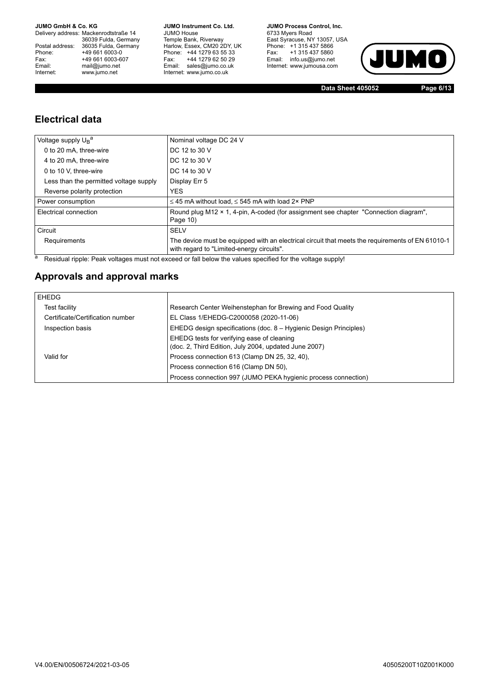Delivery address: Mackenrodtstraße 14 36039 Fulda, Germany<br>Postal address: 36035 Fulda, Germany Phone: +49 661 6003-0<br>
Fax: +49 661 6003-6<br>
Email: mail@jumo.net +49 661 6003-607 Email: mail@jumo.net<br>Internet: www.iumo.net www.jumo.net

**JUMO Instrument Co. Ltd.** JUMO House Temple Bank, Riverway<br>Harlow, Essex, CM20 2DY, UK Phone: +44 1279 63 55 33<br>Fax: +44 1279 62 50 29 Fax: +44 1279 62 50 29<br>Email: sales@jumo.co.uk Internet: www.jumo.co.uk

**JUMO Process Control, Inc.** 6733 Myers Road East Syracuse, NY 13057, USA<br>Phone: +1 315 437 5866<br>Fax: +1 315 437 5860 Email: info.us@jumo.net Internet: www.jumousa.com



**Data Sheet 405052 Page 6/13**

### **Electrical data**

| Voltage supply U <sub>R</sub> <sup>a</sup> | Nominal voltage DC 24 V                                                                                                                       |
|--------------------------------------------|-----------------------------------------------------------------------------------------------------------------------------------------------|
| 0 to 20 mA, three-wire                     | DC 12 to 30 V                                                                                                                                 |
| 4 to 20 mA, three-wire                     | DC 12 to 30 V                                                                                                                                 |
| 0 to 10 V. three-wire                      | DC 14 to 30 V                                                                                                                                 |
| Less than the permitted voltage supply     | Display Err 5                                                                                                                                 |
| Reverse polarity protection                | <b>YES</b>                                                                                                                                    |
| Power consumption                          | $\leq$ 45 mA without load, $\leq$ 545 mA with load 2× PNP                                                                                     |
| Electrical connection                      | Round plug M12 × 1, 4-pin, A-coded (for assignment see chapter "Connection diagram",<br>Page 10)                                              |
| Circuit                                    | <b>SELV</b>                                                                                                                                   |
| Requirements                               | The device must be equipped with an electrical circuit that meets the requirements of EN 61010-1<br>with regard to "Limited-energy circuits". |

a Residual ripple: Peak voltages must not exceed or fall below the values specified for the voltage supply!

### **Approvals and approval marks**

| EHEDG                            |                                                                                                     |
|----------------------------------|-----------------------------------------------------------------------------------------------------|
| Test facility                    | Research Center Weihenstephan for Brewing and Food Quality                                          |
| Certificate/Certification number | EL Class 1/EHEDG-C2000058 (2020-11-06)                                                              |
| Inspection basis                 | EHEDG design specifications (doc. 8 – Hygienic Design Principles)                                   |
|                                  | EHEDG tests for verifying ease of cleaning<br>(doc. 2, Third Edition, July 2004, updated June 2007) |
| Valid for                        | Process connection 613 (Clamp DN 25, 32, 40),                                                       |
|                                  | Process connection 616 (Clamp DN 50).                                                               |
|                                  | Process connection 997 (JUMO PEKA hygienic process connection)                                      |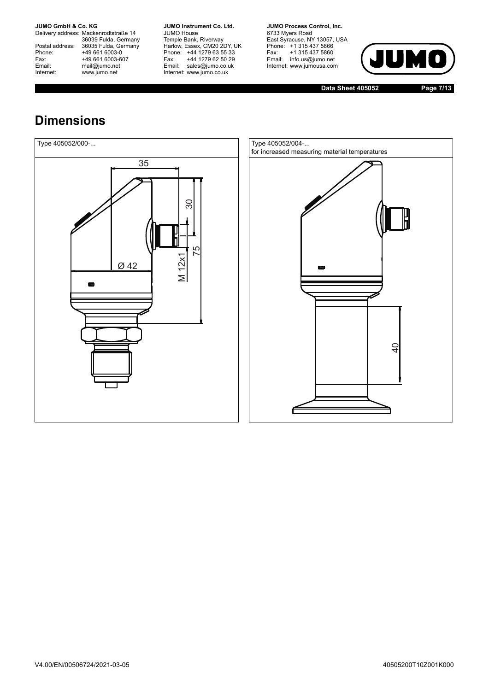Delivery address: Mackenrodtstraße 14 36039 Fulda, Germany<br>Postal address: 36035 Fulda, Germany Phone: +49 661 6003-0<br>
Fax: +49 661 6003-6<br>
Email: mail@jumo.net +49 661 6003-607 Email: mail@jumo.net<br>Internet: www.iumo.net www.jumo.net

**JUMO Instrument Co. Ltd.** JUMO House Temple Bank, Riverway<br>Harlow, Essex, CM20 2DY, UK Phone: +44 1279 63 55 33<br>Fax: +44 1279 62 50 29 +44 1279 62 50 29 Email: sales@jumo.co.uk Internet: www.jumo.co.uk

**JUMO Process Control, Inc.** 6733 Myers Road East Syracuse, NY 13057, USA<br>Phone: +1 315 437 5866<br>Fax: +1 315 437 5860 rax. Tribit 437 3000 Internet: www.jumousa.com



**Data Sheet 405052 Page 7/13**

## **Dimensions**



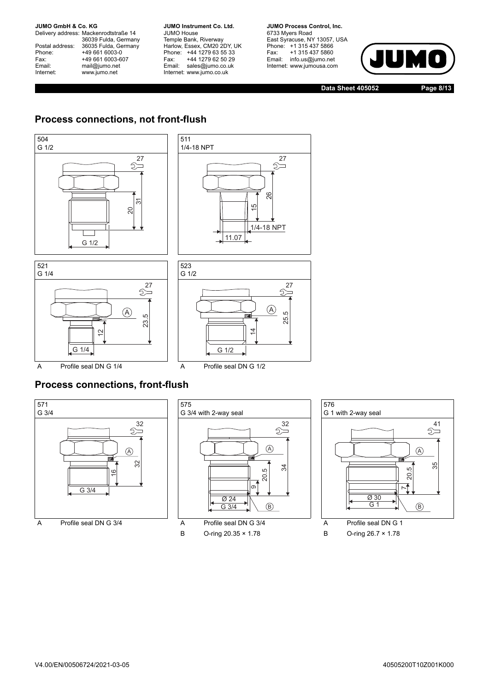Delivery address: Mackenrodtstraße 14 36039 Fulda, Germany<br>Postal address: 36035 Fulda, Germany Phone: +49 661 6003-0<br>
Fax: +49 661 6003-6<br>
Email: mail@jumo.net +49 661 6003-607 mail@jumo.net Internet: www.jumo.net

**JUMO Instrument Co. Ltd.** JUMO House Temple Bank, Riverway<br>Harlow, Essex, CM20 2DY, UK Phone: +44 1279 63 55 33<br>Fax: +44 1279 62 50 29 +44 1279 62 50 29 Email: sales@jumo.co.uk Internet: www.jumo.co.uk

**JUMO Process Control. Inc.** 6733 Myers Road East Syracuse, NY 13057, USA Phone: +1 315 437 5866<br>Fax: +1 315 437 5860 Email: info.us@jumo.net Internet: www.jumousa.com

 $27$ 



**Data Sheet 405052 Page 8/13**

## **Process connections, not front-flush**





## **Process connections, front-flush**

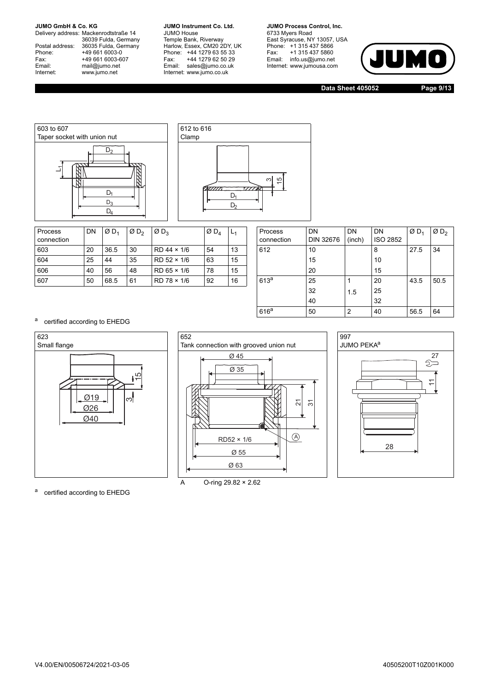Delivery address: Mackenrodtstraße 14 36039 Fulda, Germany<br>Postal address: 36035 Fulda, Germany Phone: +49 661 6003-0<br>
Fax: +49 661 6003-6<br>
Email: mail@jumo.net +49 661 6003-607 Email: mail@jumo.net<br>Internet: www.iumo.net www.jumo.net

**JUMO Instrument Co. Ltd.** JUMO House Temple Bank, Riverway<br>Harlow, Essex, CM20 2DY, UK Phone: +44 1279 63 55 33<br>Fax: +44 1279 62 50 29 +44 1279 62 50 29 Email: sales@jumo.co.uk Internet: www.jumo.co.uk

**JUMO Process Control. Inc.** 6733 Myers Road East Syracuse, NY 13057, USA<br>Phone: +1 315 437 5866<br>Fax: +1 315 437 5860 Email: info.us@jumo.net Internet: www.jumousa.com



**Data Sheet 405052 Page 9/13**





| Process<br>connection | DN | ØD <sub>1</sub> | ØD <sub>2</sub> | $\varnothing$ D <sub>3</sub> | $\emptyset$ D <sub>A</sub> | └  | Process<br>connection | DN<br><b>DIN 32676</b> | DN<br>(inch) | DN<br><b>ISO 2852</b> | ØD <sub>1</sub> | Ø  |
|-----------------------|----|-----------------|-----------------|------------------------------|----------------------------|----|-----------------------|------------------------|--------------|-----------------------|-----------------|----|
| 603                   | 20 | 36.5            | 30              | $RD$ 44 $\times$ 1/6         | 54                         | 13 | 612                   | 10                     |              |                       | 27.5            | 34 |
| 604                   | 25 | 44              | 35              | $RD$ 52 $\times$ 1/6         | 63                         | 15 |                       | 15                     |              | 10                    |                 |    |
| 606                   | 40 | 56              | 48              | $RD$ 65 $\times$ 1/6         | 78                         | 15 |                       | 20                     |              | 15                    |                 |    |
| 607                   | 50 | 68.5            | 61              | $RD$ 78 $\times$ 1/6         | 92                         | 16 | 613 <sup>a</sup>      | 25                     |              | 20                    | 43.5            | 50 |
|                       |    |                 |                 |                              |                            |    |                       |                        |              |                       |                 |    |

| Process          | DN        | DN     | DN              | $ØD_1$ | ØD <sub>2</sub> |
|------------------|-----------|--------|-----------------|--------|-----------------|
| connection       | DIN 32676 | (inch) | <b>ISO 2852</b> |        |                 |
| 612              | 10        |        | 8               | 27.5   | 34              |
|                  | 15        |        | 10              |        |                 |
|                  | 20        |        | 15              |        |                 |
| 613 <sup>a</sup> | 25        |        | 20              | 43.5   | 50.5            |
|                  | 32        | 1.5    | 25              |        |                 |
|                  | 40        |        | 32              |        |                 |
| 616 <sup>a</sup> | 50        | 2      | 40              | 56.5   | 64              |

a certified according to EHEDG







a certified according to EHEDG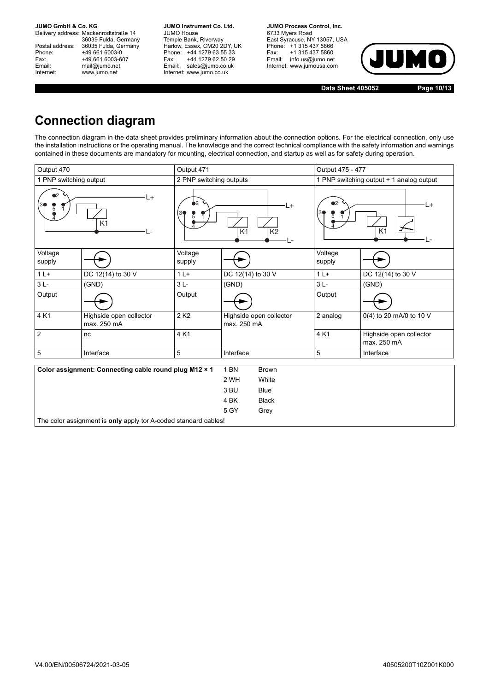Delivery address: Mackenrodtstraße 14 36039 Fulda, Germany<br>Postal address: 36035 Fulda, Germany Phone: +49 661 6003-0<br>
Fax: +49 661 6003-6<br>
Email: mail@jumo.net +49 661 6003-607 mail@jumo.net Internet: www.jumo.net

**JUMO Instrument Co. Ltd.** JUMO House Temple Bank, Riverway<br>Harlow, Essex, CM20 2DY, UK Phone: +44 1279 63 55 33<br>Fax: +44 1279 62 50 29 +44 1279 62 50 29 Email: sales@jumo.co.uk Internet: www.jumo.co.uk

**JUMO Process Control, Inc.** 6733 Myers Road East Syracuse, NY 13057, USA<br>Phone: +1 315 437 5866<br>Fax: +1 315 437 5860 Fax: +1 315 437 5860<br>Email: info.us@jumo.net Internet: www.jumousa.com



**Data Sheet 405052 Page 10/13**

## **Connection diagram**

The connection diagram in the data sheet provides preliminary information about the connection options. For the electrical connection, only use the installation instructions or the operating manual. The knowledge and the correct technical compliance with the safety information and warnings contained in these documents are mandatory for mounting, electrical connection, and startup as well as for safety during operation.

| Output 470<br>Output 471 |                                                                 |                                                                      |                                                 |                                                              |                                          | Output 475 - 477                         |  |  |
|--------------------------|-----------------------------------------------------------------|----------------------------------------------------------------------|-------------------------------------------------|--------------------------------------------------------------|------------------------------------------|------------------------------------------|--|--|
| 1 PNP switching output   |                                                                 | 2 PNP switching outputs                                              |                                                 |                                                              |                                          | 1 PNP switching output + 1 analog output |  |  |
| D2<br>L+<br>K1           |                                                                 | $\bullet$ 2<br>L+<br>30<br>$\overline{K1}$<br>$\overline{K2}$<br>۔ ا |                                                 |                                                              | $\bullet$ 2<br>ιH<br>3<br>K <sub>1</sub> |                                          |  |  |
| Voltage<br>supply        |                                                                 | Voltage<br>supply                                                    |                                                 |                                                              | Voltage<br>supply                        |                                          |  |  |
| $1L+$                    | DC 12(14) to 30 V                                               | $1L+$                                                                | DC 12(14) to 30 V                               |                                                              | $1L+$                                    | DC 12(14) to 30 V                        |  |  |
| $3L -$                   | (GND)                                                           | $3L -$                                                               | (GND)                                           |                                                              | $3L -$                                   | (GND)                                    |  |  |
| Output                   |                                                                 | Output                                                               |                                                 |                                                              | Output                                   |                                          |  |  |
| 4 K1                     | Highside open collector<br>max. 250 mA                          | 2 K <sub>2</sub>                                                     | Highside open collector<br>max. 250 mA          |                                                              | 2 analog                                 | 0(4) to 20 mA/0 to 10 V                  |  |  |
| 2                        | nc                                                              | 4 K1                                                                 |                                                 |                                                              | 4 K1                                     | Highside open collector<br>max. 250 mA   |  |  |
| 5                        | Interface                                                       | 5                                                                    | Interface                                       |                                                              | 5                                        | Interface                                |  |  |
|                          | Color assignment: Connecting cable round plug M12 × 1           |                                                                      | 1 <sub>BN</sub><br>2 WH<br>3 BU<br>4 BK<br>5 GY | <b>Brown</b><br>White<br><b>Blue</b><br><b>Black</b><br>Grey |                                          |                                          |  |  |
|                          | The color assignment is only apply tor A-coded standard cables! |                                                                      |                                                 |                                                              |                                          |                                          |  |  |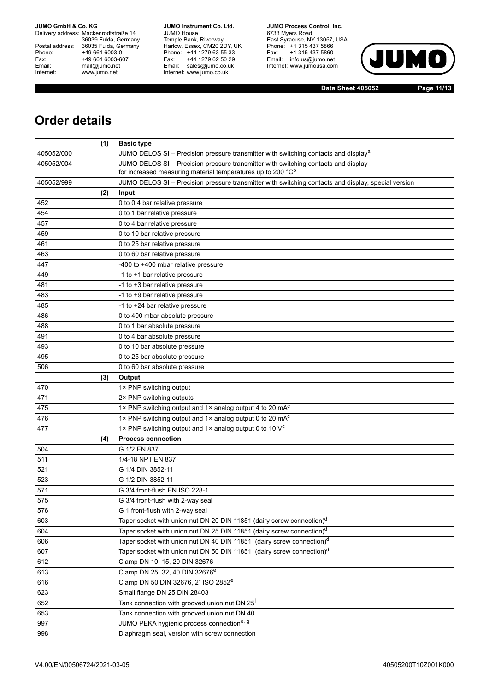Delivery address: Mackenrodtstraße 14 36039 Fulda, Germany<br>Postal address: 36035 Fulda, Germany Phone: +49 661 6003-0<br>
Fax: +49 661 6003-6<br>
Email: mail@jumo.net +49 661 6003-607 Email: mail@jumo.net<br>Internet: www.iumo.net www.jumo.net

**JUMO Instrument Co. Ltd.** JUMO House Temple Bank, Riverway<br>Harlow, Essex, CM20 2DY, UK<br>Phone: +44 1279 63 55 33 Fax: +44 1279 62 50 29 Fax: +44 1279 62 50 29<br>Email: sales@jumo.co.uk Internet: www.jumo.co.uk

**JUMO Process Control. Inc.** 6733 Myers Road East Syracuse, NY 13057, USA<br>Phone: +1 315 437 5866<br>Fax: +1 315 437 5860 Email: info.us@jumo.net Internet: www.jumousa.com



**Data Sheet 405052 Page 11/13**

## **Order details**

|            | (1) | <b>Basic type</b>                                                                                                                                                      |
|------------|-----|------------------------------------------------------------------------------------------------------------------------------------------------------------------------|
| 405052/000 |     | JUMO DELOS SI – Precision pressure transmitter with switching contacts and display <sup>a</sup>                                                                        |
| 405052/004 |     | JUMO DELOS SI - Precision pressure transmitter with switching contacts and display                                                                                     |
|            |     | for increased measuring material temperatures up to 200 °C <sup>b</sup>                                                                                                |
| 405052/999 |     | JUMO DELOS SI - Precision pressure transmitter with switching contacts and display, special version                                                                    |
|            | (2) | Input                                                                                                                                                                  |
| 452        |     | 0 to 0.4 bar relative pressure                                                                                                                                         |
| 454        |     | 0 to 1 bar relative pressure                                                                                                                                           |
| 457        |     | 0 to 4 bar relative pressure                                                                                                                                           |
| 459        |     | 0 to 10 bar relative pressure                                                                                                                                          |
| 461        |     | 0 to 25 bar relative pressure                                                                                                                                          |
| 463        |     | 0 to 60 bar relative pressure                                                                                                                                          |
| 447        |     | -400 to +400 mbar relative pressure                                                                                                                                    |
| 449        |     | -1 to +1 bar relative pressure                                                                                                                                         |
| 481        |     | -1 to +3 bar relative pressure                                                                                                                                         |
| 483        |     | -1 to +9 bar relative pressure                                                                                                                                         |
| 485        |     | -1 to +24 bar relative pressure                                                                                                                                        |
| 486        |     | 0 to 400 mbar absolute pressure                                                                                                                                        |
| 488        |     | 0 to 1 bar absolute pressure                                                                                                                                           |
| 491        |     | 0 to 4 bar absolute pressure                                                                                                                                           |
| 493        |     | 0 to 10 bar absolute pressure                                                                                                                                          |
| 495        |     | 0 to 25 bar absolute pressure                                                                                                                                          |
| 506        |     | 0 to 60 bar absolute pressure                                                                                                                                          |
|            | (3) | Output                                                                                                                                                                 |
| 470        |     | 1× PNP switching output                                                                                                                                                |
| 471        |     | 2× PNP switching outputs                                                                                                                                               |
| 475        |     | 1× PNP switching output and 1× analog output 4 to 20 mA <sup>c</sup>                                                                                                   |
| 476        |     | 1× PNP switching output and 1× analog output 0 to 20 mA <sup>c</sup>                                                                                                   |
| 477        |     | 1× PNP switching output and 1× analog output 0 to 10 V <sup>c</sup>                                                                                                    |
|            | (4) | <b>Process connection</b>                                                                                                                                              |
| 504        |     | G 1/2 EN 837<br>1/4-18 NPT EN 837                                                                                                                                      |
| 511        |     | G 1/4 DIN 3852-11                                                                                                                                                      |
| 521<br>523 |     | G 1/2 DIN 3852-11                                                                                                                                                      |
|            |     |                                                                                                                                                                        |
| 571        |     | G 3/4 front-flush EN ISO 228-1<br>G 3/4 front-flush with 2-way seal                                                                                                    |
| 575        |     |                                                                                                                                                                        |
| 576        |     | G 1 front-flush with 2-way seal                                                                                                                                        |
| 603        |     | Taper socket with union nut DN 20 DIN 11851 (dairy screw connection) <sup>d</sup>                                                                                      |
| 604        |     | Taper socket with union nut DN 25 DIN 11851 (dairy screw connection) <sup>d</sup>                                                                                      |
| 606        |     | Taper socket with union nut DN 40 DIN 11851 (dairy screw connection) <sup>d</sup><br>Taper socket with union nut DN 50 DIN 11851 (dairy screw connection) <sup>d</sup> |
| 607        |     |                                                                                                                                                                        |
| 612<br>613 |     | Clamp DN 10, 15, 20 DIN 32676<br>Clamp DN 25, 32, 40 DIN 32676 <sup>e</sup>                                                                                            |
|            |     |                                                                                                                                                                        |
| 616        |     | Clamp DN 50 DIN 32676, 2" ISO 2852 <sup>e</sup>                                                                                                                        |
| 623        |     | Small flange DN 25 DIN 28403                                                                                                                                           |
| 652        |     | Tank connection with grooved union nut DN 25 <sup>f</sup>                                                                                                              |
| 653        |     | Tank connection with grooved union nut DN 40                                                                                                                           |
| 997        |     | JUMO PEKA hygienic process connection <sup>e, g</sup>                                                                                                                  |
| 998        |     | Diaphragm seal, version with screw connection                                                                                                                          |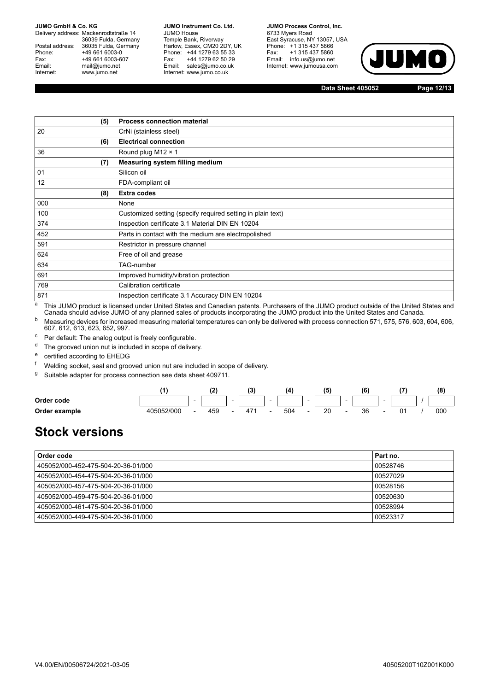Delivery address: Mackenrodtstraße 14 36039 Fulda, Germany Postal address: 36035 Fulda, Germany<br>Phone: +49 661 6003-0 Phone: +49 661 6003-0<br>
Fax: +49 661 6003-6<br>
Email: mail@iumo.net +49 661 6003-607 mail@jumo.net Internet: www.jumo.net

**JUMO Instrument Co. Ltd.** JUMO House Temple Bank, Riverway<br>Harlow, Essex, CM20 2DY, UK Phone: +44 1279 63 55 33<br>Fax: +44 1279 62 50 29 +44 1279 62 50 29 Email: sales@jumo.co.uk Internet: www.jumo.co.uk

**JUMO Process Control, Inc.** 6733 Myers Road East Syracuse, NY 13057, USA Phone: +1 315 437 5866<br>Fax: +1 315 437 5860 +1 315 437 5860 Email: info.us@jumo.net Internet: www.jumousa.com



**Data Sheet 405052 Page 12/13**

|     | (5) | <b>Process connection material</b>                          |
|-----|-----|-------------------------------------------------------------|
| 20  |     | CrNi (stainless steel)                                      |
|     | (6) | <b>Electrical connection</b>                                |
| 36  |     | Round plug M12 $\times$ 1                                   |
|     | (7) | Measuring system filling medium                             |
| 01  |     | Silicon oil                                                 |
| 12  |     | FDA-compliant oil                                           |
|     | (8) | <b>Extra codes</b>                                          |
| 000 |     | None                                                        |
| 100 |     | Customized setting (specify required setting in plain text) |
| 374 |     | Inspection certificate 3.1 Material DIN EN 10204            |
| 452 |     | Parts in contact with the medium are electropolished        |
| 591 |     | Restrictor in pressure channel                              |
| 624 |     | Free of oil and grease                                      |
| 634 |     | <b>TAG-number</b>                                           |
| 691 |     | Improved humidity/vibration protection                      |
| 769 |     | Calibration certificate                                     |
| 871 |     | Inspection certificate 3.1 Accuracy DIN EN 10204            |

a This JUMO product is licensed under United States and Canadian patents. Purchasers of the JUMO product outside of the United States and Canada should advise JUMO of any planned sales of products incorporating the JUMO product into the United States and Canada.

 $^{\rm b}$  Measuring devices for increased measuring material temperatures can only be delivered with process connection 571, 575, 576, 603, 604, 606, 607, 612, 613, 623, 652, 997.

<sup>c</sup> Per default: The analog output is freely configurable.

<sup>d</sup> The grooved union nut is included in scope of delivery.

e certified according to EHEDG

Welding socket, seal and grooved union nut are included in scope of delivery.

<sup>g</sup> Suitable adapter for process connection see data sheet 409711.

|               |            |                          |     |                          | 12<br>ເບ |                          |     |                          |    |                          |    |                          |  | (8) |
|---------------|------------|--------------------------|-----|--------------------------|----------|--------------------------|-----|--------------------------|----|--------------------------|----|--------------------------|--|-----|
| Order code    |            | $\overline{\phantom{0}}$ |     | $\overline{\phantom{a}}$ |          | $\sim$                   |     | $\overline{\phantom{a}}$ |    | $\overline{\phantom{a}}$ |    | $\overline{\phantom{a}}$ |  |     |
| Order example | 405052/000 | $\overline{\phantom{0}}$ | 459 |                          | 471      | $\overline{\phantom{a}}$ | 504 | $\overline{\phantom{a}}$ | 20 |                          | 36 |                          |  | 000 |

## **Stock versions**

| Order code                          | Part no. |
|-------------------------------------|----------|
| 405052/000-452-475-504-20-36-01/000 | 00528746 |
| 405052/000-454-475-504-20-36-01/000 | 00527029 |
| 405052/000-457-475-504-20-36-01/000 | 00528156 |
| 405052/000-459-475-504-20-36-01/000 | 00520630 |
| 405052/000-461-475-504-20-36-01/000 | 00528994 |
| 405052/000-449-475-504-20-36-01/000 | 00523317 |